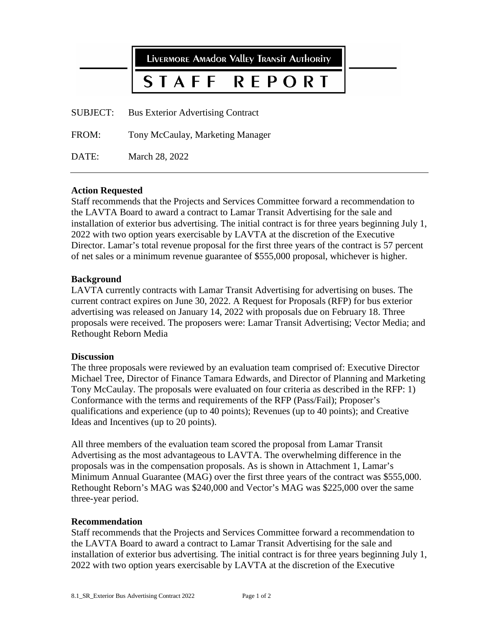|                 | LIVERMORE AMAdOR VAlley TRANSIT AUTHORITY |
|-----------------|-------------------------------------------|
|                 | STAFF REPORT                              |
| <b>SUBJECT:</b> | <b>Bus Exterior Advertising Contract</b>  |
| FROM:           | Tony McCaulay, Marketing Manager          |

DATE: March 28, 2022

### **Action Requested**

Staff recommends that the Projects and Services Committee forward a recommendation to the LAVTA Board to award a contract to Lamar Transit Advertising for the sale and installation of exterior bus advertising. The initial contract is for three years beginning July 1, 2022 with two option years exercisable by LAVTA at the discretion of the Executive Director. Lamar's total revenue proposal for the first three years of the contract is 57 percent of net sales or a minimum revenue guarantee of \$555,000 proposal, whichever is higher.

#### **Background**

LAVTA currently contracts with Lamar Transit Advertising for advertising on buses. The current contract expires on June 30, 2022. A Request for Proposals (RFP) for bus exterior advertising was released on January 14, 2022 with proposals due on February 18. Three proposals were received. The proposers were: Lamar Transit Advertising; Vector Media; and Rethought Reborn Media

#### **Discussion**

The three proposals were reviewed by an evaluation team comprised of: Executive Director Michael Tree, Director of Finance Tamara Edwards, and Director of Planning and Marketing Tony McCaulay. The proposals were evaluated on four criteria as described in the RFP: 1) Conformance with the terms and requirements of the RFP (Pass/Fail); Proposer's qualifications and experience (up to 40 points); Revenues (up to 40 points); and Creative Ideas and Incentives (up to 20 points).

All three members of the evaluation team scored the proposal from Lamar Transit Advertising as the most advantageous to LAVTA. The overwhelming difference in the proposals was in the compensation proposals. As is shown in Attachment 1, Lamar's Minimum Annual Guarantee (MAG) over the first three years of the contract was \$555,000. Rethought Reborn's MAG was \$240,000 and Vector's MAG was \$225,000 over the same three-year period.

### **Recommendation**

Staff recommends that the Projects and Services Committee forward a recommendation to the LAVTA Board to award a contract to Lamar Transit Advertising for the sale and installation of exterior bus advertising. The initial contract is for three years beginning July 1, 2022 with two option years exercisable by LAVTA at the discretion of the Executive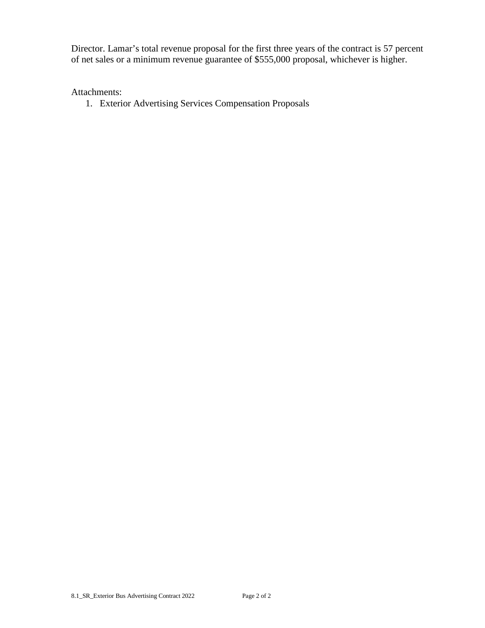Director. Lamar's total revenue proposal for the first three years of the contract is 57 percent of net sales or a minimum revenue guarantee of \$555,000 proposal, whichever is higher.

## Attachments:

1. Exterior Advertising Services Compensation Proposals